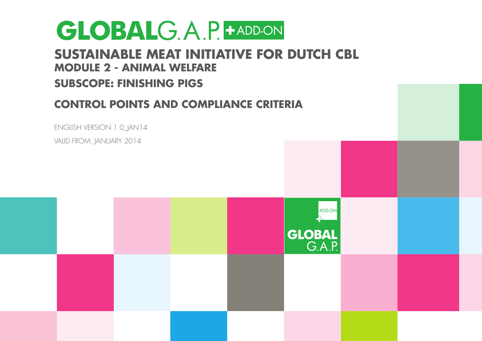### **Sustainable Meat Initiative for Dutch CBL Module 2 - Animal welfare**

### **Subscope: Finishing Pigs**

### **Control Points and Compliance Criteria**



Valid from: JANUARY 2014

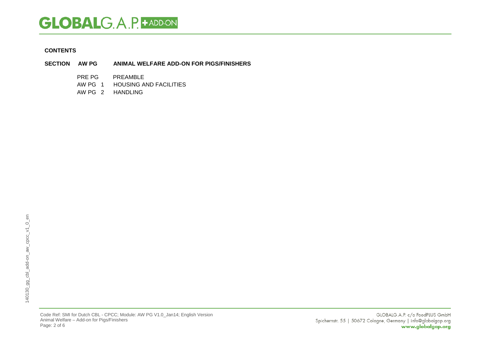#### **CONTENTS**

- **SECTION AW PG ANIMAL WELFARE ADD-ON FOR PIGS/FINISHERS**
	- PRE PG PREAMBLE<br>AW PG 1 HOUSING A
	- **HOUSING AND FACILITIES**
	- AW PG 2 HANDLING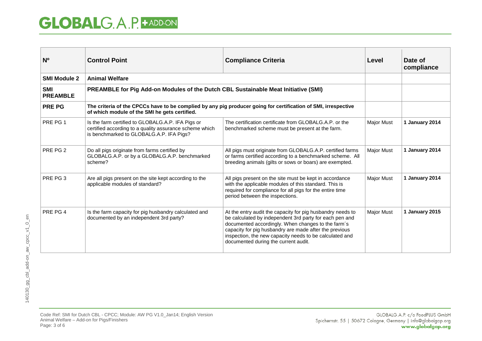| N <sup>o</sup>                | <b>Control Point</b>                                                                                                                                            | <b>Compliance Criteria</b>                                                                                                                                                                                                                                                                                                               | Level             | Date of<br>compliance |
|-------------------------------|-----------------------------------------------------------------------------------------------------------------------------------------------------------------|------------------------------------------------------------------------------------------------------------------------------------------------------------------------------------------------------------------------------------------------------------------------------------------------------------------------------------------|-------------------|-----------------------|
| <b>SMI Module 2</b>           | <b>Animal Welfare</b>                                                                                                                                           |                                                                                                                                                                                                                                                                                                                                          |                   |                       |
| <b>SMI</b><br><b>PREAMBLE</b> | PREAMBLE for Pig Add-on Modules of the Dutch CBL Sustainable Meat Initiative (SMI)                                                                              |                                                                                                                                                                                                                                                                                                                                          |                   |                       |
| <b>PRE PG</b>                 | The criteria of the CPCCs have to be complied by any pig producer going for certification of SMI, irrespective<br>of which module of the SMI he gets certified. |                                                                                                                                                                                                                                                                                                                                          |                   |                       |
| PRE PG 1                      | Is the farm certified to GLOBALG.A.P. IFA Pigs or<br>certified according to a quality assurance scheme which<br>is benchmarked to GLOBALG.A.P. IFA Pigs?        | The certification certificate from GLOBALG.A.P. or the<br>benchmarked scheme must be present at the farm.                                                                                                                                                                                                                                | <b>Major Must</b> | 1 January 2014        |
| PRE PG 2                      | Do all pigs originate from farms certified by<br>GLOBALG.A.P. or by a GLOBALG.A.P. benchmarked<br>scheme?                                                       | All pigs must originate from GLOBALG.A.P. certified farms<br>or farms certified according to a benchmarked scheme. All<br>breeding animals (gilts or sows or boars) are exempted.                                                                                                                                                        | <b>Major Must</b> | 1 January 2014        |
| PRE PG 3                      | Are all pigs present on the site kept according to the<br>applicable modules of standard?                                                                       | All pigs present on the site must be kept in accordance<br>with the applicable modules of this standard. This is<br>required for compliance for all pigs for the entire time<br>period between the inspections.                                                                                                                          | <b>Major Must</b> | 1 January 2014        |
| PRE PG 4                      | Is the farm capacity for pig husbandry calculated and<br>documented by an independent 3rd party?                                                                | At the entry audit the capacity for pig husbandry needs to<br>be calculated by independent 3rd party for each pen and<br>documented accordingly. When changes to the farm's<br>capacity for pig husbandry are made after the previous<br>inspection, the new capacity needs to be calculated and<br>documented during the current audit. | <b>Major Must</b> | 1 January 2015        |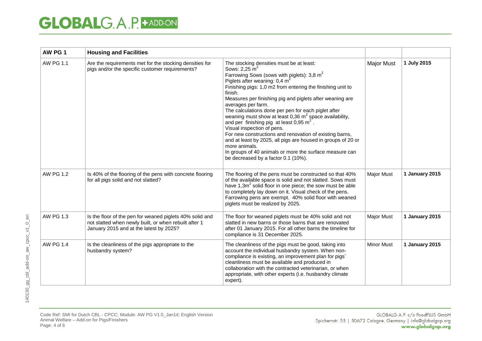| AW PG 1          | <b>Housing and Facilities</b>                                                                                                                                |                                                                                                                                                                                                                                                                                                                                                                                                                                                                                                                                                                                                                                                                                                                                                                                              |                   |                |
|------------------|--------------------------------------------------------------------------------------------------------------------------------------------------------------|----------------------------------------------------------------------------------------------------------------------------------------------------------------------------------------------------------------------------------------------------------------------------------------------------------------------------------------------------------------------------------------------------------------------------------------------------------------------------------------------------------------------------------------------------------------------------------------------------------------------------------------------------------------------------------------------------------------------------------------------------------------------------------------------|-------------------|----------------|
| <b>AW PG 1.1</b> | Are the requirements met for the stocking densities for<br>pigs and/or the specific customer requirements?                                                   | The stocking densities must be at least:<br>Sows: $2,25 \text{ m}^2$<br>Farrowing Sows (sows with piglets): 3,8 m <sup>2</sup><br>Piglets after weaning: $0.4 \text{ m}^2$<br>Finishing pigs: 1,0 m2 from entering the finishing unit to<br>finish.<br>Measures per finishing pig and piglets after weaning are<br>averages per farm.<br>The calculations done per pen for each piglet after<br>weaning must show at least 0,36 $m^2$ space availability,<br>and per finishing pig at least $0.95 \text{ m}^2$ .<br>Visual inspection of pens.<br>For new constructions and renovation of existing barns,<br>and at least by 2025, all pigs are housed in groups of 20 or<br>more animals.<br>In groups of 40 animals or more the surface measure can<br>be decreased by a factor 0.1 (10%). | <b>Major Must</b> | 1 July 2015    |
| <b>AW PG 1.2</b> | Is 40% of the flooring of the pens with concrete flooring<br>for all pigs solid and not slatted?                                                             | The flooring of the pens must be constructed so that 40%<br>of the available space is solid and not slatted. Sows must<br>have $1,3m^2$ solid floor in one piece; the sow must be able<br>to completely lay down on it. Visual check of the pens.<br>Farrowing pens are exempt. 40% solid floor with weaned<br>piglets must be realized by 2025.                                                                                                                                                                                                                                                                                                                                                                                                                                             | <b>Major Must</b> | 1 January 2015 |
| AW PG 1.3        | Is the floor of the pen for weaned piglets 40% solid and<br>not slatted when newly built, or when rebuilt after 1<br>January 2015 and at the latest by 2025? | The floor for weaned piglets must be 40% solid and not<br>slatted in new barns or those barns that are renovated<br>after 01 January 2015. For all other barns the timeline for<br>compliance is 31 December 2025.                                                                                                                                                                                                                                                                                                                                                                                                                                                                                                                                                                           | <b>Major Must</b> | 1 January 2015 |
| AW PG 1.4        | Is the cleanliness of the pigs appropriate to the<br>husbandry system?                                                                                       | The cleanliness of the pigs must be good, taking into<br>account the individual husbandry system. When non-<br>compliance is existing, an improvement plan for pigs'<br>cleanliness must be available and produced in<br>collaboration with the contracted veterinarian, or when<br>appropriate, with other experts (i.e. husbandry climate<br>expert).                                                                                                                                                                                                                                                                                                                                                                                                                                      | <b>Minor Must</b> | 1 January 2015 |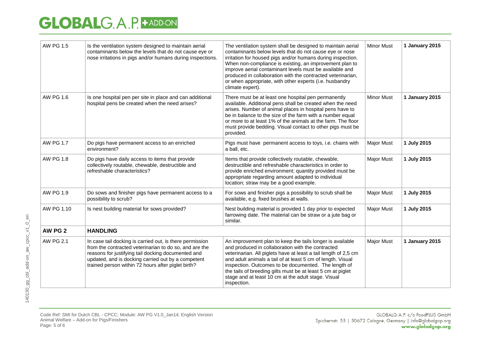| <b>AW PG 1.5</b> | Is the ventilation system designed to maintain aerial<br>contaminants below the levels that do not cause eye or<br>nose irritations in pigs and/or humans during inspections.                                                                                                        | The ventilation system shall be designed to maintain aerial<br>contaminants below levels that do not cause eye or nose<br>irritation for housed pigs and/or humans during inspection.<br>When non-compliance is existing, an improvement plan to<br>improve aerial contaminant levels must be available and<br>produced in collaboration with the contracted veterinarian,<br>or when appropriate, with other experts (i.e. husbandry<br>climate expert). | <b>Minor Must</b> | 1 January 2015 |
|------------------|--------------------------------------------------------------------------------------------------------------------------------------------------------------------------------------------------------------------------------------------------------------------------------------|-----------------------------------------------------------------------------------------------------------------------------------------------------------------------------------------------------------------------------------------------------------------------------------------------------------------------------------------------------------------------------------------------------------------------------------------------------------|-------------------|----------------|
| AW PG 1.6        | Is one hospital pen per site in place and can additional<br>hospital pens be created when the need arises?                                                                                                                                                                           | There must be at least one hospital pen permanently<br>available. Additional pens shall be created when the need<br>arises. Number of animal places in hospital pens have to<br>be in balance to the size of the farm with a number equal<br>or more to at least 1% of the animals at the farm. The floor<br>must provide bedding. Visual contact to other pigs must be<br>provided.                                                                      | <b>Minor Must</b> | 1 January 2015 |
| <b>AW PG 1.7</b> | Do pigs have permanent access to an enriched<br>environment?                                                                                                                                                                                                                         | Pigs must have permanent access to toys, i.e. chains with<br>a ball, etc.                                                                                                                                                                                                                                                                                                                                                                                 | <b>Major Must</b> | 1 July 2015    |
| AW PG 1.8        | Do pigs have daily access to items that provide<br>collectively routable, chewable, destructible and<br>refreshable characteristics?                                                                                                                                                 | Items that provide collectively routable, chewable,<br>destructible and refreshable characteristics in order to<br>provide enriched environment; quantity provided must be<br>appropriate regarding amount adapted to individual<br>location; straw may be a good example.                                                                                                                                                                                | <b>Major Must</b> | 1 July 2015    |
| AW PG 1.9        | Do sows and finisher pigs have permanent access to a<br>possibility to scrub?                                                                                                                                                                                                        | For sows and finisher pigs a possibility to scrub shall be<br>available, e.g. fixed brushes at walls.                                                                                                                                                                                                                                                                                                                                                     | <b>Major Must</b> | 1 July 2015    |
| AW PG 1.10       | Is nest building material for sows provided?                                                                                                                                                                                                                                         | Nest building material is provided 1 day prior to expected<br>farrowing date. The material can be straw or a jute bag or<br>similar.                                                                                                                                                                                                                                                                                                                      | <b>Major Must</b> | 1 July 2015    |
| AW PG 2          | <b>HANDLING</b>                                                                                                                                                                                                                                                                      |                                                                                                                                                                                                                                                                                                                                                                                                                                                           |                   |                |
| <b>AW PG 2.1</b> | In case tail docking is carried out, is there permission<br>from the contracted veterinarian to do so, and are the<br>reasons for justifying tail docking documented and<br>updated, and is docking carried out by a competent<br>trained person within 72 hours after piglet birth? | An improvement plan to keep the tails longer is available<br>and produced in collaboration with the contracted<br>veterinarian. All piglets have at least a tail length of 2,5 cm<br>and adult animals a tail of at least 5 cm of length. Visual<br>inspection. Outcomes to be documented. The length of<br>the tails of breeding gilts must be at least 5 cm at piglet<br>stage and at least 10 cm at the adult stage. Visual<br>inspection.             | <b>Major Must</b> | 1 January 2015 |